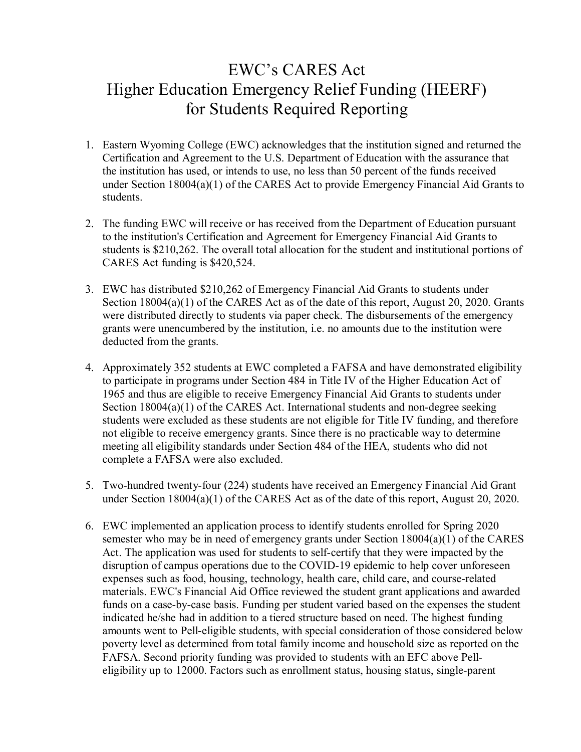## EWC's CARES Act Higher Education Emergency Relief Funding (HEERF) for Students Required Reporting

- 1. Eastern Wyoming College (EWC) acknowledges that the institution signed and returned the Certification and Agreement to the U.S. Department of Education with the assurance that the institution has used, or intends to use, no less than 50 percent of the funds received under Section 18004(a)(1) of the CARES Act to provide Emergency Financial Aid Grants to students.
- 2. The funding EWC will receive or has received from the Department of Education pursuant to the institution's Certification and Agreement for Emergency Financial Aid Grants to students is \$210,262. The overall total allocation for the student and institutional portions of CARES Act funding is \$420,524.
- 3. EWC has distributed \$210,262 of Emergency Financial Aid Grants to students under Section 18004(a)(1) of the CARES Act as of the date of this report, August 20, 2020. Grants were distributed directly to students via paper check. The disbursements of the emergency grants were unencumbered by the institution, i.e. no amounts due to the institution were deducted from the grants.
- 4. Approximately 352 students at EWC completed a FAFSA and have demonstrated eligibility to participate in programs under Section 484 in Title IV of the Higher Education Act of 1965 and thus are eligible to receive Emergency Financial Aid Grants to students under Section 18004(a)(1) of the CARES Act. International students and non-degree seeking students were excluded as these students are not eligible for Title IV funding, and therefore not eligible to receive emergency grants. Since there is no practicable way to determine meeting all eligibility standards under Section 484 of the HEA, students who did not complete a FAFSA were also excluded.
- 5. Two-hundred twenty-four (224) students have received an Emergency Financial Aid Grant under Section 18004(a)(1) of the CARES Act as of the date of this report, August 20, 2020.
- 6. EWC implemented an application process to identify students enrolled for Spring 2020 semester who may be in need of emergency grants under Section 18004(a)(1) of the CARES Act. The application was used for students to self-certify that they were impacted by the disruption of campus operations due to the COVID-19 epidemic to help cover unforeseen expenses such as food, housing, technology, health care, child care, and course-related materials. EWC's Financial Aid Office reviewed the student grant applications and awarded funds on a case-by-case basis. Funding per student varied based on the expenses the student indicated he/she had in addition to a tiered structure based on need. The highest funding amounts went to Pell-eligible students, with special consideration of those considered below poverty level as determined from total family income and household size as reported on the FAFSA. Second priority funding was provided to students with an EFC above Pelleligibility up to 12000. Factors such as enrollment status, housing status, single-parent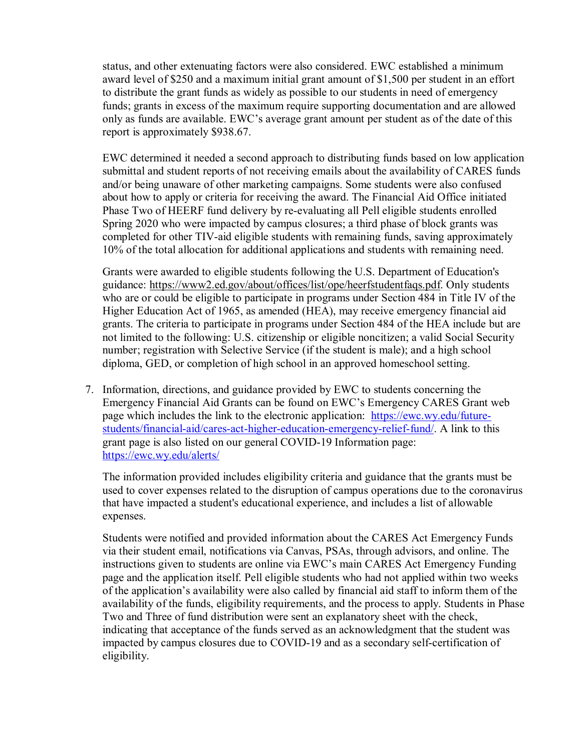status, and other extenuating factors were also considered. EWC established a minimum award level of \$250 and a maximum initial grant amount of \$1,500 per student in an effort to distribute the grant funds as widely as possible to our students in need of emergency funds; grants in excess of the maximum require supporting documentation and are allowed only as funds are available. EWC's average grant amount per student as of the date of this report is approximately \$938.67.

EWC determined it needed a second approach to distributing funds based on low application submittal and student reports of not receiving emails about the availability of CARES funds and/or being unaware of other marketing campaigns. Some students were also confused about how to apply or criteria for receiving the award. The Financial Aid Office initiated Phase Two of HEERF fund delivery by re-evaluating all Pell eligible students enrolled Spring 2020 who were impacted by campus closures; a third phase of block grants was completed for other TIV-aid eligible students with remaining funds, saving approximately 10% of the total allocation for additional applications and students with remaining need.

Grants were awarded to eligible students following the U.S. Department of Education's guidance: [https://www2.ed.gov/about/offices/list/ope/heerfstudentfaqs.pdf.](https://www2.ed.gov/about/offices/list/ope/heerfstudentfaqs.pdf) Only students who are or could be eligible to participate in programs under Section 484 in Title IV of the Higher Education Act of 1965, as amended (HEA), may receive emergency financial aid grants. The criteria to participate in programs under Section 484 of the HEA include but are not limited to the following: U.S. citizenship or eligible noncitizen; a valid Social Security number; registration with Selective Service (if the student is male); and a high school diploma, GED, or completion of high school in an approved homeschool setting.

7. Information, directions, and guidance provided by EWC to students concerning the Emergency Financial Aid Grants can be found on EWC's Emergency CARES Grant web page which includes the link to the electronic application: [https://ewc.wy.edu/future](https://ewc.wy.edu/future-students/financial-aid/cares-act-higher-education-emergency-relief-fund/)[students/financial-aid/cares-act-higher-education-emergency-relief-fund/.](https://ewc.wy.edu/future-students/financial-aid/cares-act-higher-education-emergency-relief-fund/) A link to this grant page is also listed on our general COVID-19 Information page: <https://ewc.wy.edu/alerts/>

The information provided includes eligibility criteria and guidance that the grants must be used to cover expenses related to the disruption of campus operations due to the coronavirus that have impacted a student's educational experience, and includes a list of allowable expenses.

Students were notified and provided information about the CARES Act Emergency Funds via their student email, notifications via Canvas, PSAs, through advisors, and online. The instructions given to students are online via EWC's main CARES Act Emergency Funding page and the application itself. Pell eligible students who had not applied within two weeks of the application's availability were also called by financial aid staff to inform them of the availability of the funds, eligibility requirements, and the process to apply. Students in Phase Two and Three of fund distribution were sent an explanatory sheet with the check, indicating that acceptance of the funds served as an acknowledgment that the student was impacted by campus closures due to COVID-19 and as a secondary self-certification of eligibility.